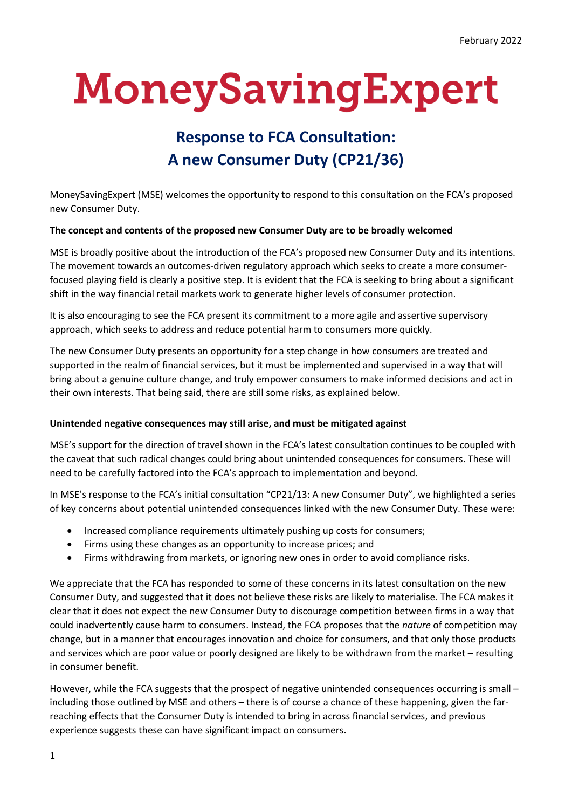# MoneySavingExpert

## **Response to FCA Consultation: A new Consumer Duty (CP21/36)**

MoneySavingExpert (MSE) welcomes the opportunity to respond to this consultation on the FCA's proposed new Consumer Duty.

#### **The concept and contents of the proposed new Consumer Duty are to be broadly welcomed**

MSE is broadly positive about the introduction of the FCA's proposed new Consumer Duty and its intentions. The movement towards an outcomes-driven regulatory approach which seeks to create a more consumerfocused playing field is clearly a positive step. It is evident that the FCA is seeking to bring about a significant shift in the way financial retail markets work to generate higher levels of consumer protection.

It is also encouraging to see the FCA present its commitment to a more agile and assertive supervisory approach, which seeks to address and reduce potential harm to consumers more quickly.

The new Consumer Duty presents an opportunity for a step change in how consumers are treated and supported in the realm of financial services, but it must be implemented and supervised in a way that will bring about a genuine culture change, and truly empower consumers to make informed decisions and act in their own interests. That being said, there are still some risks, as explained below.

#### **Unintended negative consequences may still arise, and must be mitigated against**

MSE's support for the direction of travel shown in the FCA's latest consultation continues to be coupled with the caveat that such radical changes could bring about unintended consequences for consumers. These will need to be carefully factored into the FCA's approach to implementation and beyond.

In MSE's response to the FCA's initial consultation "CP21/13: A new Consumer Duty", we highlighted a series of key concerns about potential unintended consequences linked with the new Consumer Duty. These were:

- Increased compliance requirements ultimately pushing up costs for consumers;
- Firms using these changes as an opportunity to increase prices; and
- Firms withdrawing from markets, or ignoring new ones in order to avoid compliance risks.

We appreciate that the FCA has responded to some of these concerns in its latest consultation on the new Consumer Duty, and suggested that it does not believe these risks are likely to materialise. The FCA makes it clear that it does not expect the new Consumer Duty to discourage competition between firms in a way that could inadvertently cause harm to consumers. Instead, the FCA proposes that the *nature* of competition may change, but in a manner that encourages innovation and choice for consumers, and that only those products and services which are poor value or poorly designed are likely to be withdrawn from the market – resulting in consumer benefit.

However, while the FCA suggests that the prospect of negative unintended consequences occurring is small – including those outlined by MSE and others – there is of course a chance of these happening, given the farreaching effects that the Consumer Duty is intended to bring in across financial services, and previous experience suggests these can have significant impact on consumers.